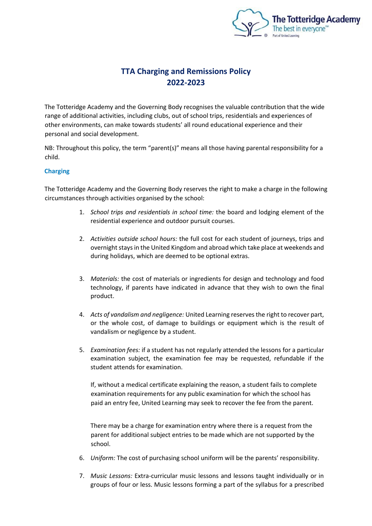

# **TTA Charging and Remissions Policy 2022-2023**

The Totteridge Academy and the Governing Body recognises the valuable contribution that the wide range of additional activities, including clubs, out of school trips, residentials and experiences of other environments, can make towards students' all round educational experience and their personal and social development.

NB: Throughout this policy, the term "parent(s)" means all those having parental responsibility for a child.

# **Charging**

The Totteridge Academy and the Governing Body reserves the right to make a charge in the following circumstances through activities organised by the school:

- 1. *School trips and residentials in school time:* the board and lodging element of the residential experience and outdoor pursuit courses.
- 2. *Activities outside school hours:* the full cost for each student of journeys, trips and overnight stays in the United Kingdom and abroad which take place at weekends and during holidays, which are deemed to be optional extras.
- 3. *Materials:* the cost of materials or ingredients for design and technology and food technology, if parents have indicated in advance that they wish to own the final product.
- 4. *Acts of vandalism and negligence:* United Learning reserves the right to recover part, or the whole cost, of damage to buildings or equipment which is the result of vandalism or negligence by a student.
- 5. *Examination fees:* if a student has not regularly attended the lessons for a particular examination subject, the examination fee may be requested, refundable if the student attends for examination.

If, without a medical certificate explaining the reason, a student fails to complete examination requirements for any public examination for which the school has paid an entry fee, United Learning may seek to recover the fee from the parent.

There may be a charge for examination entry where there is a request from the parent for additional subject entries to be made which are not supported by the school.

- 6. *Uniform:* The cost of purchasing school uniform will be the parents' responsibility.
- 7. *Music Lessons:* Extra-curricular music lessons and lessons taught individually or in groups of four or less. Music lessons forming a part of the syllabus for a prescribed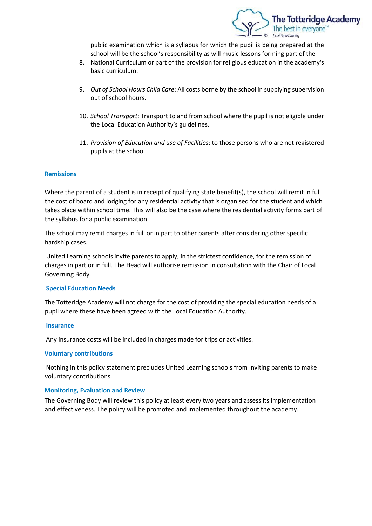

public examination which is a syllabus for which the pupil is being prepared at the school will be the school's responsibility as will music lessons forming part of the

- 8. National Curriculum or part of the provision for religious education in the academy's basic curriculum.
- 9. *Out of School Hours Child Care*: All costs borne by the school in supplying supervision out of school hours.
- 10. *School Transport*: Transport to and from school where the pupil is not eligible under the Local Education Authority's guidelines.
- 11. *Provision of Education and use of Facilities*: to those persons who are not registered pupils at the school.

## **Remissions**

Where the parent of a student is in receipt of qualifying state benefit(s), the school will remit in full the cost of board and lodging for any residential activity that is organised for the student and which takes place within school time. This will also be the case where the residential activity forms part of the syllabus for a public examination.

The school may remit charges in full or in part to other parents after considering other specific hardship cases.

United Learning schools invite parents to apply, in the strictest confidence, for the remission of charges in part or in full. The Head will authorise remission in consultation with the Chair of Local Governing Body.

### **Special Education Needs**

The Totteridge Academy will not charge for the cost of providing the special education needs of a pupil where these have been agreed with the Local Education Authority.

#### **Insurance**

Any insurance costs will be included in charges made for trips or activities.

## **Voluntary contributions**

Nothing in this policy statement precludes United Learning schools from inviting parents to make voluntary contributions.

#### **Monitoring, Evaluation and Review**

The Governing Body will review this policy at least every two years and assess its implementation and effectiveness. The policy will be promoted and implemented throughout the academy.